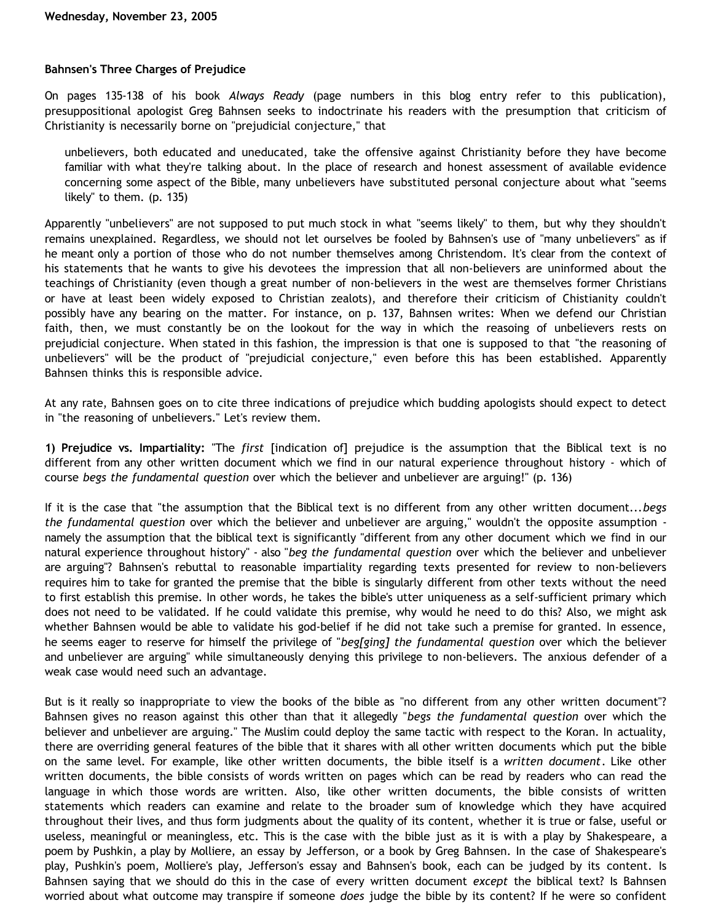## **Bahnsen's Three Charges of Prejudice**

On pages 135-138 of his book *Always Ready* (page numbers in this blog entry refer to this publication), presuppositional apologist Greg Bahnsen seeks to indoctrinate his readers with the presumption that criticism of Christianity is necessarily borne on "prejudicial conjecture," that

unbelievers, both educated and uneducated, take the offensive against Christianity before they have become familiar with what they're talking about. In the place of research and honest assessment of available evidence concerning some aspect of the Bible, many unbelievers have substituted personal conjecture about what "seems likely" to them. (p. 135)

Apparently "unbelievers" are not supposed to put much stock in what "seems likely" to them, but why they shouldn't remains unexplained. Regardless, we should not let ourselves be fooled by Bahnsen's use of "many unbelievers" as if he meant only a portion of those who do not number themselves among Christendom. It's clear from the context of his statements that he wants to give his devotees the impression that all non-believers are uninformed about the teachings of Christianity (even though a great number of non-believers in the west are themselves former Christians or have at least been widely exposed to Christian zealots), and therefore their criticism of Chistianity couldn't possibly have any bearing on the matter. For instance, on p. 137, Bahnsen writes: When we defend our Christian faith, then, we must constantly be on the lookout for the way in which the reasoing of unbelievers rests on prejudicial conjecture. When stated in this fashion, the impression is that one is supposed to that "the reasoning of unbelievers" will be the product of "prejudicial conjecture," even before this has been established. Apparently Bahnsen thinks this is responsible advice.

At any rate, Bahnsen goes on to cite three indications of prejudice which budding apologists should expect to detect in "the reasoning of unbelievers." Let's review them.

**1) Prejudice vs. Impartiality:** "The *first* [indication of] prejudice is the assumption that the Biblical text is no different from any other written document which we find in our natural experience throughout history - which of course *begs the fundamental question* over which the believer and unbeliever are arguing!" (p. 136)

If it is the case that "the assumption that the Biblical text is no different from any other written document...*begs the fundamental question* over which the believer and unbeliever are arguing," wouldn't the opposite assumption namely the assumption that the biblical text is significantly "different from any other document which we find in our natural experience throughout history" - also "*beg the fundamental question* over which the believer and unbeliever are arguing"? Bahnsen's rebuttal to reasonable impartiality regarding texts presented for review to non-believers requires him to take for granted the premise that the bible is singularly different from other texts without the need to first establish this premise. In other words, he takes the bible's utter uniqueness as a self-sufficient primary which does not need to be validated. If he could validate this premise, why would he need to do this? Also, we might ask whether Bahnsen would be able to validate his god-belief if he did not take such a premise for granted. In essence, he seems eager to reserve for himself the privilege of "*beg[ging] the fundamental question* over which the believer and unbeliever are arguing" while simultaneously denying this privilege to non-believers. The anxious defender of a weak case would need such an advantage.

But is it really so inappropriate to view the books of the bible as "no different from any other written document"? Bahnsen gives no reason against this other than that it allegedly "*begs the fundamental question* over which the believer and unbeliever are arguing." The Muslim could deploy the same tactic with respect to the Koran. In actuality, there are overriding general features of the bible that it shares with all other written documents which put the bible on the same level. For example, like other written documents, the bible itself is a *written document*. Like other written documents, the bible consists of words written on pages which can be read by readers who can read the language in which those words are written. Also, like other written documents, the bible consists of written statements which readers can examine and relate to the broader sum of knowledge which they have acquired throughout their lives, and thus form judgments about the quality of its content, whether it is true or false, useful or useless, meaningful or meaningless, etc. This is the case with the bible just as it is with a play by Shakespeare, a poem by Pushkin, a play by Molliere, an essay by Jefferson, or a book by Greg Bahnsen. In the case of Shakespeare's play, Pushkin's poem, Molliere's play, Jefferson's essay and Bahnsen's book, each can be judged by its content. Is Bahnsen saying that we should do this in the case of every written document *except* the biblical text? Is Bahnsen worried about what outcome may transpire if someone *does* judge the bible by its content? If he were so confident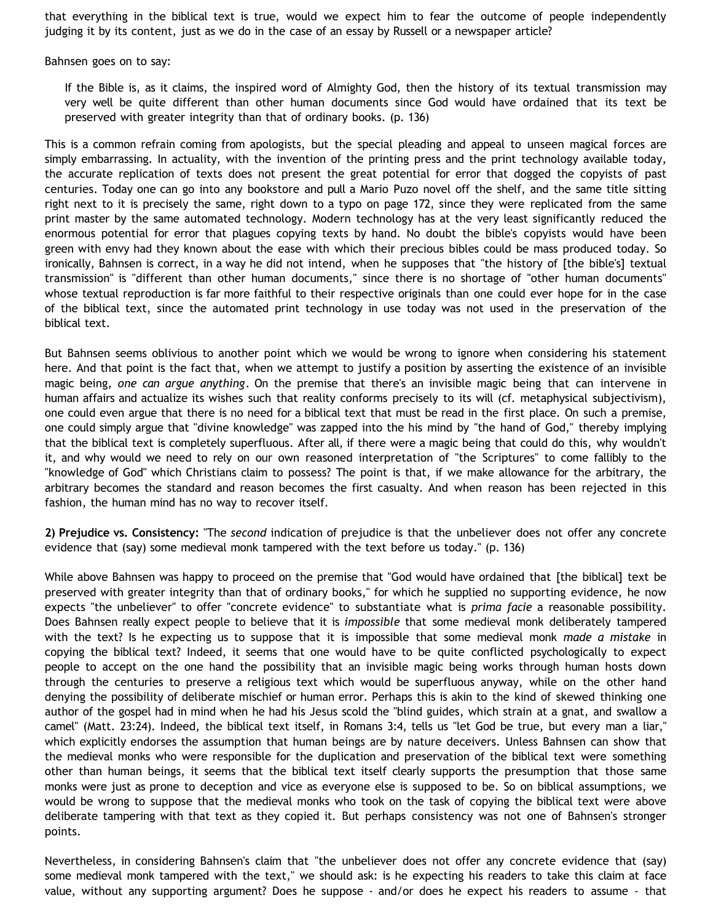that everything in the biblical text is true, would we expect him to fear the outcome of people independently judging it by its content, just as we do in the case of an essay by Russell or a newspaper article?

Bahnsen goes on to say:

If the Bible is, as it claims, the inspired word of Almighty God, then the history of its textual transmission may very well be quite different than other human documents since God would have ordained that its text be preserved with greater integrity than that of ordinary books. (p. 136)

This is a common refrain coming from apologists, but the special pleading and appeal to unseen magical forces are simply embarrassing. In actuality, with the invention of the printing press and the print technology available today, the accurate replication of texts does not present the great potential for error that dogged the copyists of past centuries. Today one can go into any bookstore and pull a Mario Puzo novel off the shelf, and the same title sitting right next to it is precisely the same, right down to a typo on page 172, since they were replicated from the same print master by the same automated technology. Modern technology has at the very least significantly reduced the enormous potential for error that plagues copying texts by hand. No doubt the bible's copyists would have been green with envy had they known about the ease with which their precious bibles could be mass produced today. So ironically, Bahnsen is correct, in a way he did not intend, when he supposes that "the history of [the bible's] textual transmission" is "different than other human documents," since there is no shortage of "other human documents" whose textual reproduction is far more faithful to their respective originals than one could ever hope for in the case of the biblical text, since the automated print technology in use today was not used in the preservation of the biblical text.

But Bahnsen seems oblivious to another point which we would be wrong to ignore when considering his statement here. And that point is the fact that, when we attempt to justify a position by asserting the existence of an invisible magic being, *one can argue anything*. On the premise that there's an invisible magic being that can intervene in human affairs and actualize its wishes such that reality conforms precisely to its will (cf. metaphysical subjectivism), one could even argue that there is no need for a biblical text that must be read in the first place. On such a premise, one could simply argue that "divine knowledge" was zapped into the his mind by "the hand of God," thereby implying that the biblical text is completely superfluous. After all, if there were a magic being that could do this, why wouldn't it, and why would we need to rely on our own reasoned interpretation of "the Scriptures" to come fallibly to the "knowledge of God" which Christians claim to possess? The point is that, if we make allowance for the arbitrary, the arbitrary becomes the standard and reason becomes the first casualty. And when reason has been rejected in this fashion, the human mind has no way to recover itself.

**2) Prejudice vs. Consistency:** "The *second* indication of prejudice is that the unbeliever does not offer any concrete evidence that (say) some medieval monk tampered with the text before us today." (p. 136)

While above Bahnsen was happy to proceed on the premise that "God would have ordained that [the biblical] text be preserved with greater integrity than that of ordinary books," for which he supplied no supporting evidence, he now expects "the unbeliever" to offer "concrete evidence" to substantiate what is *prima facie* a reasonable possibility. Does Bahnsen really expect people to believe that it is *impossible* that some medieval monk deliberately tampered with the text? Is he expecting us to suppose that it is impossible that some medieval monk *made a mistake* in copying the biblical text? Indeed, it seems that one would have to be quite conflicted psychologically to expect people to accept on the one hand the possibility that an invisible magic being works through human hosts down through the centuries to preserve a religious text which would be superfluous anyway, while on the other hand denying the possibility of deliberate mischief or human error. Perhaps this is akin to the kind of skewed thinking one author of the gospel had in mind when he had his Jesus scold the "blind guides, which strain at a gnat, and swallow a camel" (Matt. 23:24). Indeed, the biblical text itself, in Romans 3:4, tells us "let God be true, but every man a liar," which explicitly endorses the assumption that human beings are by nature deceivers. Unless Bahnsen can show that the medieval monks who were responsible for the duplication and preservation of the biblical text were something other than human beings, it seems that the biblical text itself clearly supports the presumption that those same monks were just as prone to deception and vice as everyone else is supposed to be. So on biblical assumptions, we would be wrong to suppose that the medieval monks who took on the task of copying the biblical text were above deliberate tampering with that text as they copied it. But perhaps consistency was not one of Bahnsen's stronger points.

Nevertheless, in considering Bahnsen's claim that "the unbeliever does not offer any concrete evidence that (say) some medieval monk tampered with the text," we should ask: is he expecting his readers to take this claim at face value, without any supporting argument? Does he suppose - and/or does he expect his readers to assume - that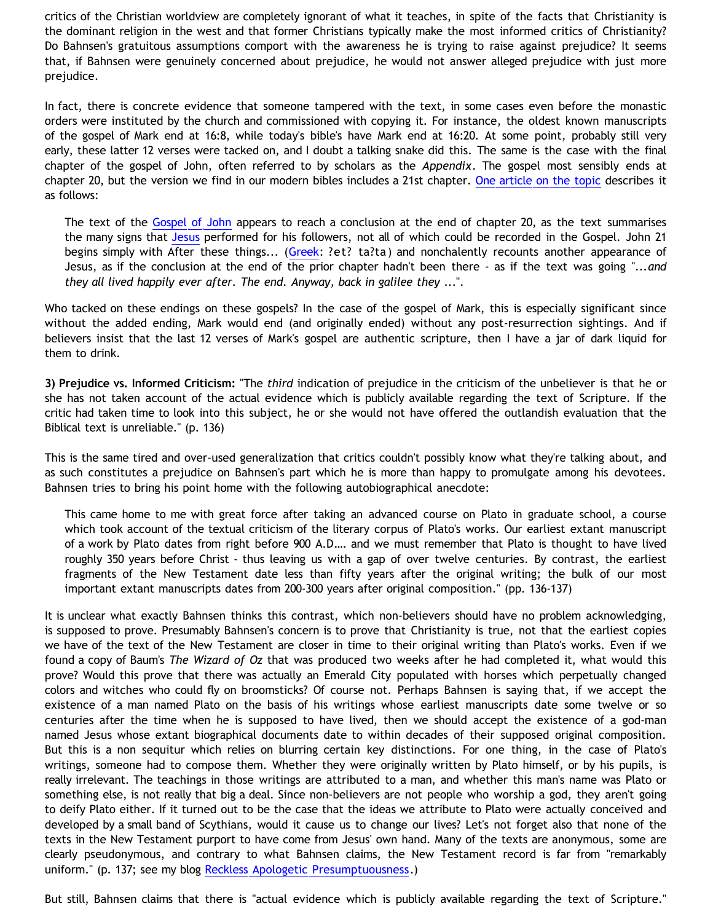critics of the Christian worldview are completely ignorant of what it teaches, in spite of the facts that Christianity is the dominant religion in the west and that former Christians typically make the most informed critics of Christianity? Do Bahnsen's gratuitous assumptions comport with the awareness he is trying to raise against prejudice? It seems that, if Bahnsen were genuinely concerned about prejudice, he would not answer alleged prejudice with just more prejudice.

In fact, there is concrete evidence that someone tampered with the text, in some cases even before the monastic orders were instituted by the church and commissioned with copying it. For instance, the oldest known manuscripts of the gospel of Mark end at 16:8, while today's bible's have Mark end at 16:20. At some point, probably still very early, these latter 12 verses were tacked on, and I doubt a talking snake did this. The same is the case with the final chapter of the gospel of John, often referred to by scholars as the *Appendix*. The gospel most sensibly ends at chapter 20, but the version we find in our modern bibles includes a 21st chapter. [One article on the topic](http://en.wikipedia.org/wiki/John_21) describes it as follows:

The text of the [Gospel of John](http://en.wikipedia.org/wiki/Gospel_of_John) appears to reach a conclusion at the end of chapter 20, as the text summarises the many signs that [Jesus](http://en.wikipedia.org/wiki/Jesus) performed for his followers, not all of which could be recorded in the Gospel. John 21 begins simply with After these things... ([Greek](http://en.wikipedia.org/wiki/Greek_language): ?et? ta?ta) and nonchalently recounts another appearance of Jesus, as if the conclusion at the end of the prior chapter hadn't been there - as if the text was going "...*and they all lived happily ever after. The end. Anyway, back in galilee they* ...".

Who tacked on these endings on these gospels? In the case of the gospel of Mark, this is especially significant since without the added ending, Mark would end (and originally ended) without any post-resurrection sightings. And if believers insist that the last 12 verses of Mark's gospel are authentic scripture, then I have a jar of dark liquid for them to drink.

**3) Prejudice vs. Informed Criticism:** "The *third* indication of prejudice in the criticism of the unbeliever is that he or she has not taken account of the actual evidence which is publicly available regarding the text of Scripture. If the critic had taken time to look into this subject, he or she would not have offered the outlandish evaluation that the Biblical text is unreliable." (p. 136)

This is the same tired and over-used generalization that critics couldn't possibly know what they're talking about, and as such constitutes a prejudice on Bahnsen's part which he is more than happy to promulgate among his devotees. Bahnsen tries to bring his point home with the following autobiographical anecdote:

This came home to me with great force after taking an advanced course on Plato in graduate school, a course which took account of the textual criticism of the literary corpus of Plato's works. Our earliest extant manuscript of a work by Plato dates from right before 900 A.D…. and we must remember that Plato is thought to have lived roughly 350 years before Christ - thus leaving us with a gap of over twelve centuries. By contrast, the earliest fragments of the New Testament date less than fifty years after the original writing; the bulk of our most important extant manuscripts dates from 200-300 years after original composition." (pp. 136-137)

It is unclear what exactly Bahnsen thinks this contrast, which non-believers should have no problem acknowledging, is supposed to prove. Presumably Bahnsen's concern is to prove that Christianity is true, not that the earliest copies we have of the text of the New Testament are closer in time to their original writing than Plato's works. Even if we found a copy of Baum's *The Wizard of Oz* that was produced two weeks after he had completed it, what would this prove? Would this prove that there was actually an Emerald City populated with horses which perpetually changed colors and witches who could fly on broomsticks? Of course not. Perhaps Bahnsen is saying that, if we accept the existence of a man named Plato on the basis of his writings whose earliest manuscripts date some twelve or so centuries after the time when he is supposed to have lived, then we should accept the existence of a god-man named Jesus whose extant biographical documents date to within decades of their supposed original composition. But this is a non sequitur which relies on blurring certain key distinctions. For one thing, in the case of Plato's writings, someone had to compose them. Whether they were originally written by Plato himself, or by his pupils, is really irrelevant. The teachings in those writings are attributed to a man, and whether this man's name was Plato or something else, is not really that big a deal. Since non-believers are not people who worship a god, they aren't going to deify Plato either. If it turned out to be the case that the ideas we attribute to Plato were actually conceived and developed by a small band of Scythians, would it cause us to change our lives? Let's not forget also that none of the texts in the New Testament purport to have come from Jesus' own hand. Many of the texts are anonymous, some are clearly pseudonymous, and contrary to what Bahnsen claims, the New Testament record is far from "remarkably uniform." (p. 137; see my blog [Reckless Apologetic Presumptuousness](http://bahnsenburner.blogspot.com/2005/09/reckless-apologetic-presumptuousness.html).)

But still, Bahnsen claims that there is "actual evidence which is publicly available regarding the text of Scripture."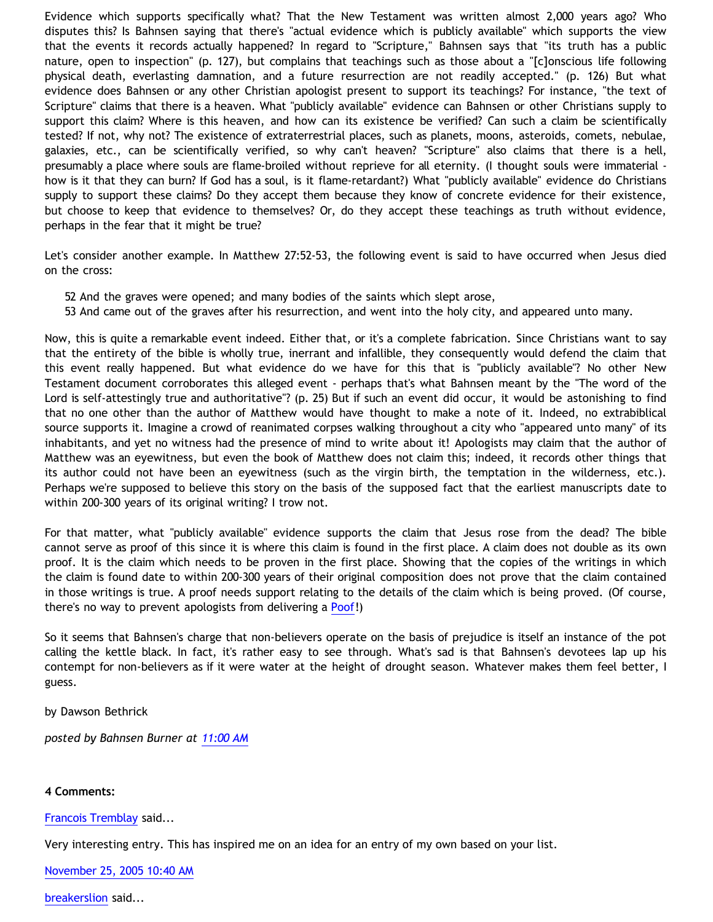Evidence which supports specifically what? That the New Testament was written almost 2,000 years ago? Who disputes this? Is Bahnsen saying that there's "actual evidence which is publicly available" which supports the view that the events it records actually happened? In regard to "Scripture," Bahnsen says that "its truth has a public nature, open to inspection" (p. 127), but complains that teachings such as those about a "[c]onscious life following physical death, everlasting damnation, and a future resurrection are not readily accepted." (p. 126) But what evidence does Bahnsen or any other Christian apologist present to support its teachings? For instance, "the text of Scripture" claims that there is a heaven. What "publicly available" evidence can Bahnsen or other Christians supply to support this claim? Where is this heaven, and how can its existence be verified? Can such a claim be scientifically tested? If not, why not? The existence of extraterrestrial places, such as planets, moons, asteroids, comets, nebulae, galaxies, etc., can be scientifically verified, so why can't heaven? "Scripture" also claims that there is a hell, presumably a place where souls are flame-broiled without reprieve for all eternity. (I thought souls were immaterial how is it that they can burn? If God has a soul, is it flame-retardant?) What "publicly available" evidence do Christians supply to support these claims? Do they accept them because they know of concrete evidence for their existence, but choose to keep that evidence to themselves? Or, do they accept these teachings as truth without evidence, perhaps in the fear that it might be true?

Let's consider another example. In Matthew 27:52-53, the following event is said to have occurred when Jesus died on the cross:

- 52 And the graves were opened; and many bodies of the saints which slept arose,
- 53 And came out of the graves after his resurrection, and went into the holy city, and appeared unto many.

Now, this is quite a remarkable event indeed. Either that, or it's a complete fabrication. Since Christians want to say that the entirety of the bible is wholly true, inerrant and infallible, they consequently would defend the claim that this event really happened. But what evidence do we have for this that is "publicly available"? No other New Testament document corroborates this alleged event - perhaps that's what Bahnsen meant by the "The word of the Lord is self-attestingly true and authoritative"? (p. 25) But if such an event did occur, it would be astonishing to find that no one other than the author of Matthew would have thought to make a note of it. Indeed, no extrabiblical source supports it. Imagine a crowd of reanimated corpses walking throughout a city who "appeared unto many" of its inhabitants, and yet no witness had the presence of mind to write about it! Apologists may claim that the author of Matthew was an eyewitness, but even the book of Matthew does not claim this; indeed, it records other things that its author could not have been an eyewitness (such as the virgin birth, the temptation in the wilderness, etc.). Perhaps we're supposed to believe this story on the basis of the supposed fact that the earliest manuscripts date to within 200-300 years of its original writing? I trow not.

For that matter, what "publicly available" evidence supports the claim that Jesus rose from the dead? The bible cannot serve as proof of this since it is where this claim is found in the first place. A claim does not double as its own proof. It is the claim which needs to be proven in the first place. Showing that the copies of the writings in which the claim is found date to within 200-300 years of their original composition does not prove that the claim contained in those writings is true. A proof needs support relating to the details of the claim which is being proved. (Of course, there's no way to prevent apologists from delivering a [Poof](http://www.geocities.com/katholon/poof.htm)!)

So it seems that Bahnsen's charge that non-believers operate on the basis of prejudice is itself an instance of the pot calling the kettle black. In fact, it's rather easy to see through. What's sad is that Bahnsen's devotees lap up his contempt for non-believers as if it were water at the height of drought season. Whatever makes them feel better, I guess.

by Dawson Bethrick

*posted by Bahnsen Burner at [11:00 AM](http://bahnsenburner.blogspot.com/2005/11/bahnsens-three-charges-of-prejudice.html)*

## **4 Comments:**

[Francois Tremblay](http://www.blogger.com/profile/7715861) said...

Very interesting entry. This has inspired me on an idea for an entry of my own based on your list.

[November 25, 2005 10:40 AM](http://bahnsenburner.blogspot.com/2005/11/113294401301728043)

[breakerslion](http://www.blogger.com/profile/8227868) said...